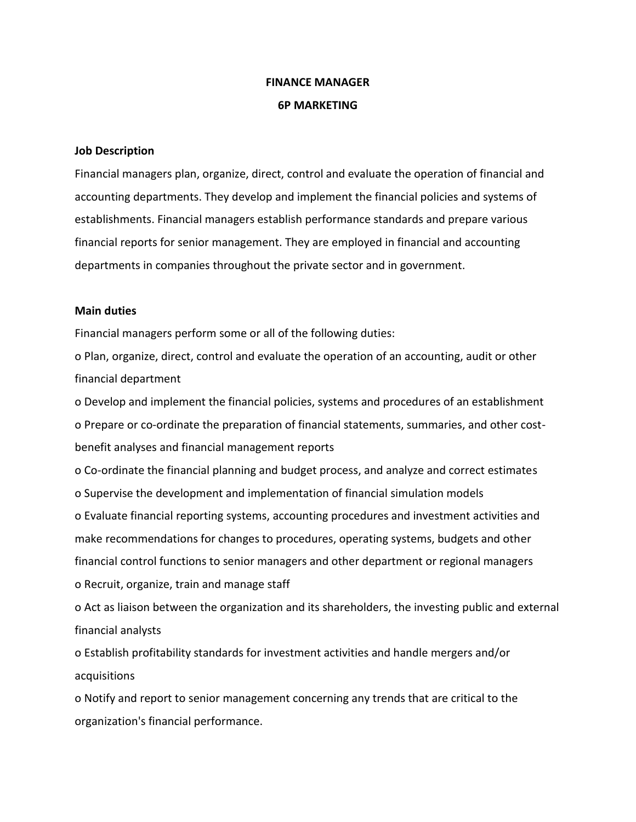## **FINANCE MANAGER 6P MARKETING**

## **Job Description**

Financial managers plan, organize, direct, control and evaluate the operation of financial and accounting departments. They develop and implement the financial policies and systems of establishments. Financial managers establish performance standards and prepare various financial reports for senior management. They are employed in financial and accounting departments in companies throughout the private sector and in government.

## **Main duties**

Financial managers perform some or all of the following duties:

o Plan, organize, direct, control and evaluate the operation of an accounting, audit or other financial department

o Develop and implement the financial policies, systems and procedures of an establishment o Prepare or co-ordinate the preparation of financial statements, summaries, and other costbenefit analyses and financial management reports

o Co-ordinate the financial planning and budget process, and analyze and correct estimates o Supervise the development and implementation of financial simulation models

o Evaluate financial reporting systems, accounting procedures and investment activities and make recommendations for changes to procedures, operating systems, budgets and other financial control functions to senior managers and other department or regional managers o Recruit, organize, train and manage staff

o Act as liaison between the organization and its shareholders, the investing public and external financial analysts

o Establish profitability standards for investment activities and handle mergers and/or acquisitions

o Notify and report to senior management concerning any trends that are critical to the organization's financial performance.